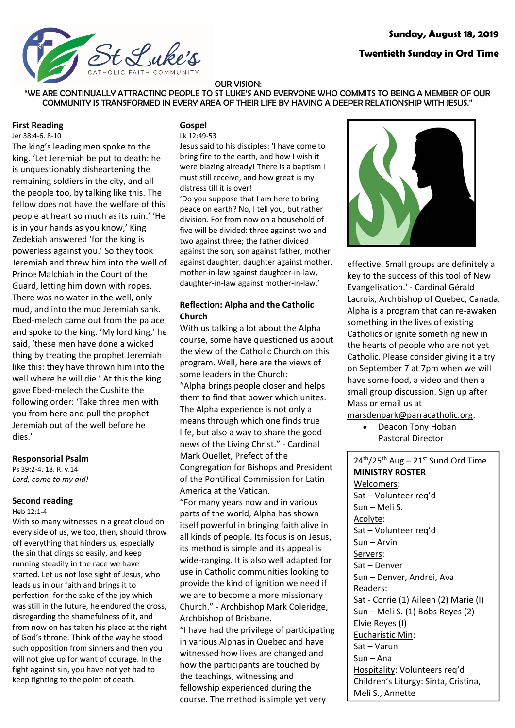

## **Twentieth Sunday in Ord Time**

#### OUR VISION:

"WE ARE CONTINUALLY ATTRACTING PEOPLE TO ST LUKE'S AND EVERYONE WHO COMMITS TO BEING A MEMBER OF OUR COMMUNITY IS TRANSFORMED IN EVERY AREA OF THEIR LIFE BY HAVING A DEEPER RELATIONSHIP WITH JESUS."

#### **First Reading**

Jer 38:4-6. 8-10

The king's leading men spoke to the king. 'Let Jeremiah be put to death: he is unquestionably disheartening the remaining soldiers in the city, and all the people too, by talking like this. The fellow does not have the welfare of this people at heart so much as its ruin.' 'He is in your hands as you know,' King Zedekiah answered 'for the king is powerless against you.' So they took Jeremiah and threw him into the well of Prince Malchiah in the Court of the Guard, letting him down with ropes. There was no water in the well, only mud, and into the mud Jeremiah sank. Ebed-melech came out from the palace and spoke to the king. 'My lord king,' he said, 'these men have done a wicked thing by treating the prophet Jeremiah like this: they have thrown him into the well where he will die.' At this the king gave Ebed-melech the Cushite the following order: 'Take three men with you from here and pull the prophet Jeremiah out of the well before he dies.'

#### **Responsorial Psalm**

Ps 39:2-4. 18. R. v.14 *Lord, come to my aid!*

#### **Second reading**

#### Heb 12:1-4

With so many witnesses in a great cloud on every side of us, we too, then, should throw off everything that hinders us, especially the sin that clings so easily, and keep running steadily in the race we have started. Let us not lose sight of Jesus, who leads us in our faith and brings it to perfection: for the sake of the joy which was still in the future, he endured the cross, disregarding the shamefulness of it, and from now on has taken his place at the right of God's throne. Think of the way he stood such opposition from sinners and then you will not give up for want of courage. In the fight against sin, you have not yet had to keep fighting to the point of death.

#### **Gospel** Lk 12:49-53

Jesus said to his disciples: 'I have come to bring fire to the earth, and how I wish it were blazing already! There is a baptism I must still receive, and how great is my distress till it is over!

'Do you suppose that I am here to bring peace on earth? No, I tell you, but rather division. For from now on a household of five will be divided: three against two and two against three; the father divided against the son, son against father, mother against daughter, daughter against mother, mother-in-law against daughter-in-law, daughter-in-law against mother-in-law.'

## **Reflection: Alpha and the Catholic Church**

With us talking a lot about the Alpha course, some have questioned us about the view of the Catholic Church on this program. Well, here are the views of some leaders in the Church: "Alpha brings people closer and helps them to find that power which unites. The Alpha experience is not only a

means through which one finds true life, but also a way to share the good news of the Living Christ." - Cardinal Mark Ouellet, Prefect of the Congregation for Bishops and President of the Pontifical Commission for Latin America at the Vatican.

"For many years now and in various parts of the world, Alpha has shown itself powerful in bringing faith alive in all kinds of people. Its focus is on Jesus, its method is simple and its appeal is wide-ranging. It is also well adapted for use in Catholic communities looking to provide the kind of ignition we need if we are to become a more missionary Church." - Archbishop Mark Coleridge, Archbishop of Brisbane.

"I have had the privilege of participating in various Alphas in Quebec and have witnessed how lives are changed and how the participants are touched by the teachings, witnessing and fellowship experienced during the course. The method is simple yet very



effective. Small groups are definitely a key to the success of this tool of New Evangelisation.' - Cardinal Gérald Lacroix, Archbishop of Quebec, Canada. Alpha is a program that can re-awaken something in the lives of existing Catholics or ignite something new in the hearts of people who are not yet Catholic. Please consider giving it a try on September 7 at 7pm when we will have some food, a video and then a small group discussion. Sign up after Mass or email us at

marsdenpark@parracatholic.org.

 Deacon Tony Hoban Pastoral Director

 $24<sup>th</sup>/25<sup>th</sup>$  Aug –  $21<sup>st</sup>$  Sund Ord Time **MINISTRY ROSTER** Welcomers: Sat – Volunteer req'd Sun – Meli S. Acolyte: Sat – Volunteer req'd Sun – Arvin Servers: Sat – Denver Sun – Denver, Andrei, Ava Readers: Sat - Corrie (1) Aileen (2) Marie (I) Sun – Meli S. (1) Bobs Reyes (2) Elvie Reyes (I) Eucharistic Min: Sat – Varuni Sun – Ana Hospitality: Volunteers req'd Children's Liturgy: Sinta, Cristina, Meli S., Annette